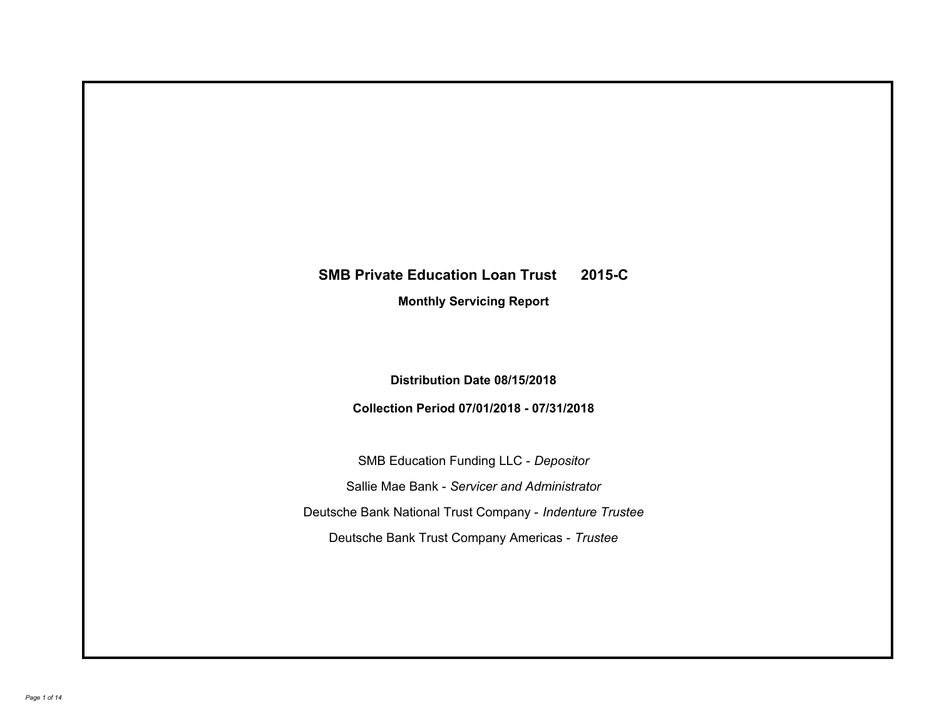# **SMB Private Education Loan Trust 2015-C**

**Monthly Servicing Report**

**Distribution Date 08/15/2018**

**Collection Period 07/01/2018 - 07/31/2018**

SMB Education Funding LLC - *Depositor* Sallie Mae Bank - *Servicer and Administrator* Deutsche Bank National Trust Company - *Indenture Trustee* Deutsche Bank Trust Company Americas - *Trustee*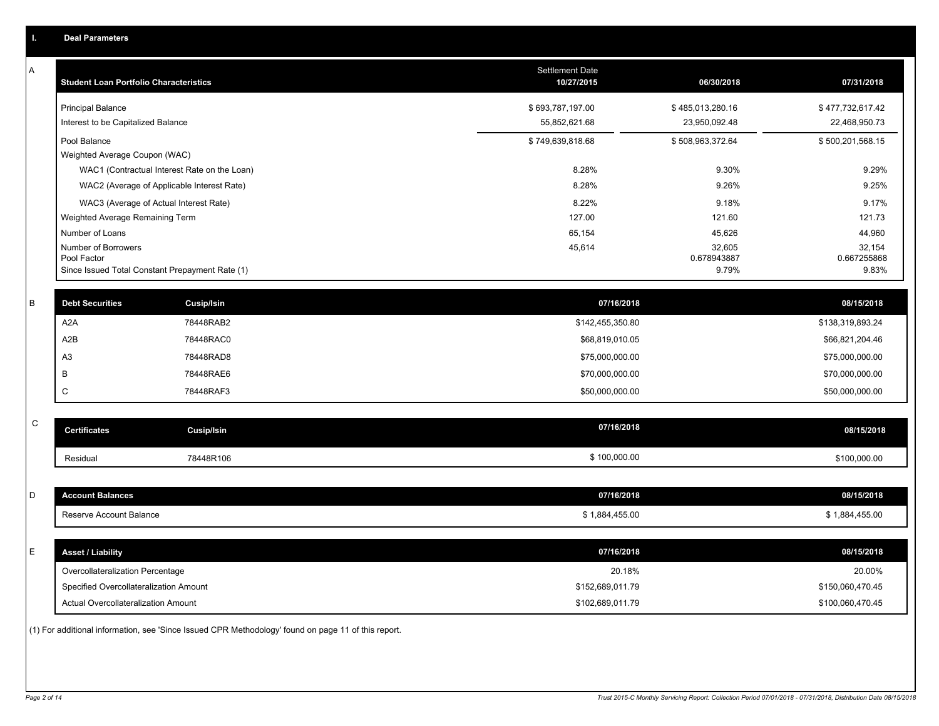|   | <b>Deal Parameters</b>                                         |                                                 |                                   |                                          |                                          |
|---|----------------------------------------------------------------|-------------------------------------------------|-----------------------------------|------------------------------------------|------------------------------------------|
| А | <b>Student Loan Portfolio Characteristics</b>                  |                                                 | Settlement Date<br>10/27/2015     | 06/30/2018                               | 07/31/2018                               |
|   | <b>Principal Balance</b><br>Interest to be Capitalized Balance |                                                 | \$693,787,197.00<br>55,852,621.68 | \$485,013,280.16<br>23,950,092.48        | \$477,732,617.42<br>22,468,950.73        |
|   | Pool Balance                                                   |                                                 | \$749,639,818.68                  | \$508,963,372.64                         | \$500,201,568.15                         |
|   | Weighted Average Coupon (WAC)                                  |                                                 |                                   |                                          |                                          |
|   |                                                                | WAC1 (Contractual Interest Rate on the Loan)    | 8.28%                             | 9.30%                                    | 9.29%                                    |
|   |                                                                | WAC2 (Average of Applicable Interest Rate)      | 8.28%                             | 9.26%                                    | 9.25%                                    |
|   |                                                                | WAC3 (Average of Actual Interest Rate)          | 8.22%                             | 9.18%                                    | 9.17%                                    |
|   | Weighted Average Remaining Term                                |                                                 | 127.00                            | 121.60                                   | 121.73                                   |
|   | Number of Loans<br>Number of Borrowers<br>Pool Factor          | Since Issued Total Constant Prepayment Rate (1) | 65,154<br>45,614                  | 45,626<br>32,605<br>0.678943887<br>9.79% | 44,960<br>32,154<br>0.667255868<br>9.83% |
| B | <b>Debt Securities</b>                                         | Cusip/Isin                                      | 07/16/2018                        |                                          | 08/15/2018                               |
|   | A <sub>2</sub> A                                               | 78448RAB2                                       | \$142,455,350.80                  |                                          | \$138,319,893.24                         |
|   | A2B                                                            | 78448RAC0                                       | \$68,819,010.05                   |                                          | \$66,821,204.46                          |
|   | A <sub>3</sub>                                                 | 78448RAD8                                       | \$75,000,000.00                   |                                          | \$75,000,000.00                          |
|   | B                                                              | 78448RAE6                                       | \$70,000,000.00                   |                                          | \$70,000,000.00                          |
|   | $\mathsf{C}$                                                   | 78448RAF3                                       | \$50,000,000.00                   |                                          | \$50,000,000.00                          |
| C |                                                                |                                                 | 07/16/2018                        |                                          |                                          |
|   | <b>Certificates</b>                                            | <b>Cusip/Isin</b>                               |                                   |                                          | 08/15/2018                               |
|   | Residual                                                       | 78448R106                                       | \$100,000.00                      |                                          | \$100,000.00                             |
| D | <b>Account Balances</b>                                        |                                                 | 07/16/2018                        |                                          | 08/15/2018                               |

Reserve Account Balance \$1,884,455.00 \$1,884,455.00 \$1,884,455.00 \$1,884,455.00

E **Asset / Liability 07/16/2018 08/15/2018**

Actual Overcollateralization Amount \$102,689,011.79

\$ 1,884,455.00

\$152,689,011.79

(1) For additional information, see 'Since Issued CPR Methodology' found on page 11 of this report.

20.18% 20.00%

\$100,060,470.45 \$150,060,470.45

Overcollateralization Percentage

Specified Overcollateralization Amount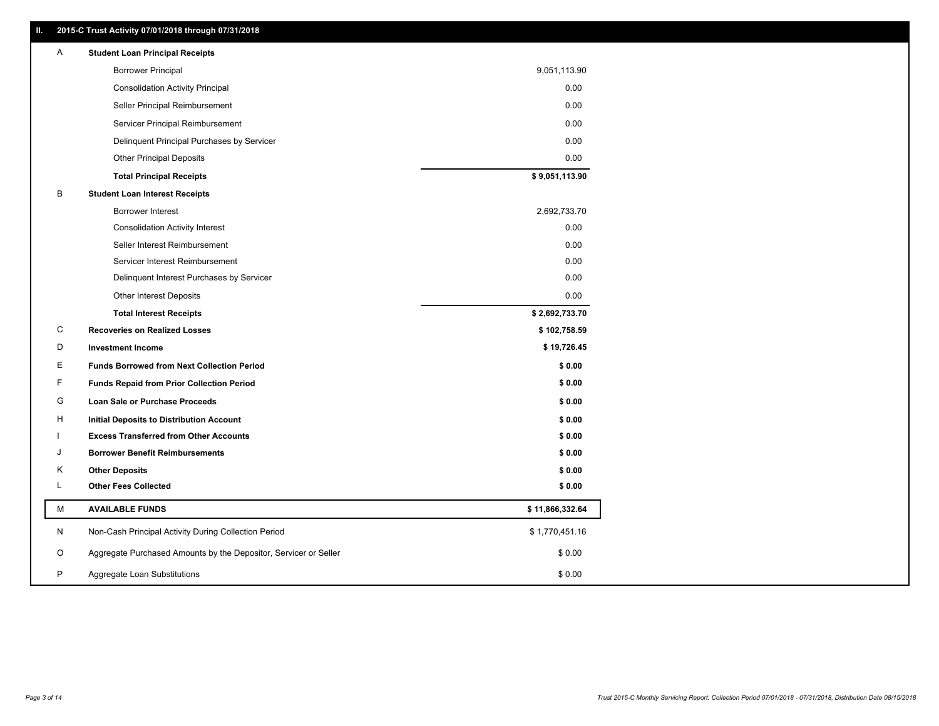| Ш. | 2015-C Trust Activity 07/01/2018 through 07/31/2018              |                 |
|----|------------------------------------------------------------------|-----------------|
| A  | <b>Student Loan Principal Receipts</b>                           |                 |
|    | <b>Borrower Principal</b>                                        | 9,051,113.90    |
|    | <b>Consolidation Activity Principal</b>                          | 0.00            |
|    | Seller Principal Reimbursement                                   | 0.00            |
|    | Servicer Principal Reimbursement                                 | 0.00            |
|    | Delinquent Principal Purchases by Servicer                       | 0.00            |
|    | <b>Other Principal Deposits</b>                                  | 0.00            |
|    | <b>Total Principal Receipts</b>                                  | \$9,051,113.90  |
| В  | <b>Student Loan Interest Receipts</b>                            |                 |
|    | Borrower Interest                                                | 2,692,733.70    |
|    | <b>Consolidation Activity Interest</b>                           | 0.00            |
|    | Seller Interest Reimbursement                                    | 0.00            |
|    | Servicer Interest Reimbursement                                  | 0.00            |
|    | Delinquent Interest Purchases by Servicer                        | 0.00            |
|    | <b>Other Interest Deposits</b>                                   | 0.00            |
|    | <b>Total Interest Receipts</b>                                   | \$2,692,733.70  |
| C  | <b>Recoveries on Realized Losses</b>                             | \$102,758.59    |
| D  | <b>Investment Income</b>                                         | \$19,726.45     |
| Ε  | <b>Funds Borrowed from Next Collection Period</b>                | \$0.00          |
| F  | <b>Funds Repaid from Prior Collection Period</b>                 | \$0.00          |
| G  | Loan Sale or Purchase Proceeds                                   | \$0.00          |
| Н  | Initial Deposits to Distribution Account                         | \$0.00          |
| J. | <b>Excess Transferred from Other Accounts</b>                    | \$0.00          |
| J  | <b>Borrower Benefit Reimbursements</b>                           | \$0.00          |
| Κ  | <b>Other Deposits</b>                                            | \$0.00          |
| L  | <b>Other Fees Collected</b>                                      | \$0.00          |
| М  | <b>AVAILABLE FUNDS</b>                                           | \$11,866,332.64 |
| N  | Non-Cash Principal Activity During Collection Period             | \$1,770,451.16  |
| O  | Aggregate Purchased Amounts by the Depositor, Servicer or Seller | \$0.00          |
| P  | Aggregate Loan Substitutions                                     | \$0.00          |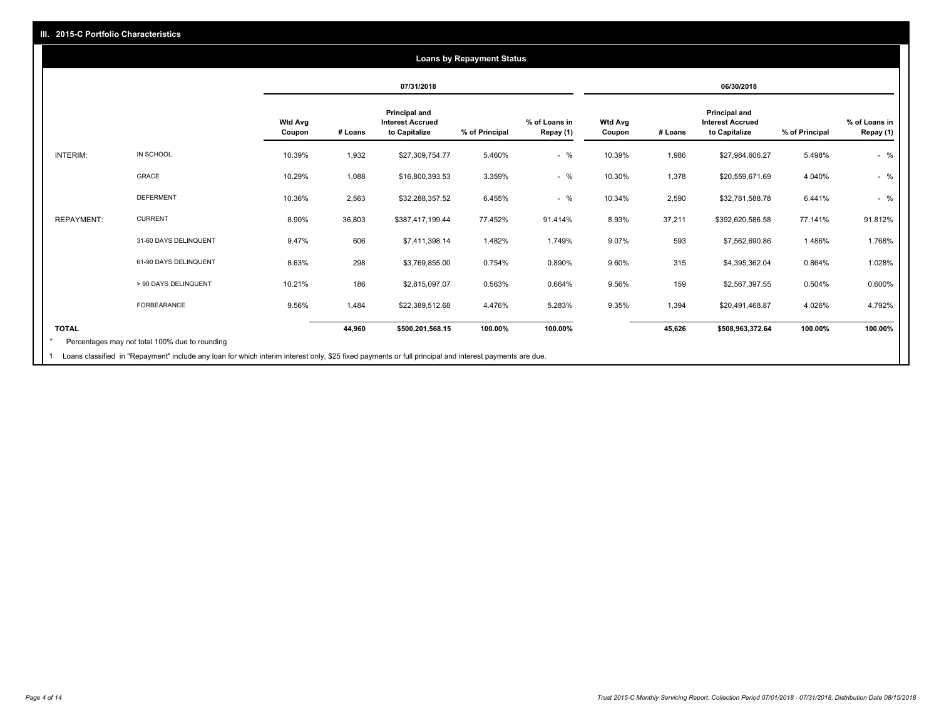## **07/31/2018 06/30/2018 Wtd Avg Coupon # Loans Principal and Interest Accrued to Capitalize % of Principal % of Loans in Repay (1) Wtd Avg Coupon # Loans Principal and Interest Accrued to Capitalize % of Principal % of Loans in Repay (1)**  INTERIM: IN SCHOOL 10.39% 1,932 \$27,309,754.77 5.460% - % 10.39% 1,986 \$27,984,606.27 5.498% - % GRACE 10.29% 1,088 \$16,800,393.53 3.359% - % 10.30% 1,378 \$20,559,671.69 4.040% - % DEFERMENT 10.36% 2,563 \$32,288,357.52 6.455% - % 10.34% 2,590 \$32,781,588.78 6.441% - % REPAYMENT: CURRENT 8.90% 36,803 \$387,417,199.44 77.452% 91.414% 8.93% 37,211 \$392,620,586.58 77.141% 91.812% 31-60 DAYS DELINQUENT 9.47% 606 \$7,411,398.14 1.482% 1.749% 9.07% 593 \$7,562,690.86 1.486% 1.768% 61-90 DAYS DELINQUENT 8.63% 298 \$3,769,855.00 0.754% 0.890% 9.60% 315 \$4,395,362.04 0.864% 1.028% > 90 DAYS DELINQUENT 10.21% 186 \$2,815,097.07 0.563% 0.664% 9.56% 159 \$2,567,397.55 0.504% 0.600% FORBEARANCE 9.56% 1,484 \$22,389,512.68 4.476% 5.283% 9.35% 1,394 \$20,491,468.87 4.026% 4.792% **TOTAL 44,960 \$500,201,568.15 100.00% 100.00% 45,626 \$508,963,372.64 100.00% 100.00% Loans by Repayment Status** Percentages may not total 100% due to rounding \*

Loans classified in "Repayment" include any loan for which interim interest only, \$25 fixed payments or full principal and interest payments are due. 1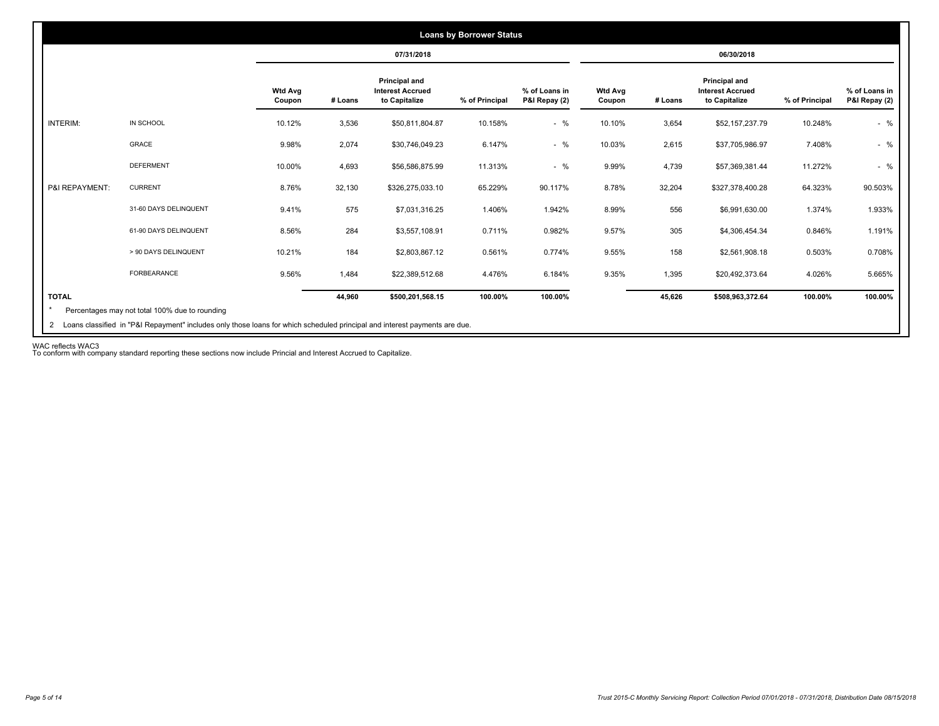|                |                       |                          |         | 07/31/2018                                                       |                |                                |                          |         | 06/30/2018                                                |                |                                |
|----------------|-----------------------|--------------------------|---------|------------------------------------------------------------------|----------------|--------------------------------|--------------------------|---------|-----------------------------------------------------------|----------------|--------------------------------|
|                |                       | <b>Wtd Avg</b><br>Coupon | # Loans | <b>Principal and</b><br><b>Interest Accrued</b><br>to Capitalize | % of Principal | % of Loans in<br>P&I Repay (2) | <b>Wtd Avg</b><br>Coupon | # Loans | Principal and<br><b>Interest Accrued</b><br>to Capitalize | % of Principal | % of Loans in<br>P&I Repay (2) |
| INTERIM:       | IN SCHOOL             | 10.12%                   | 3,536   | \$50,811,804.87                                                  | 10.158%        | $-$ %                          | 10.10%                   | 3,654   | \$52,157,237.79                                           | 10.248%        | $-$ %                          |
|                | <b>GRACE</b>          | 9.98%                    | 2,074   | \$30,746,049.23                                                  | 6.147%         | $-$ %                          | 10.03%                   | 2,615   | \$37,705,986.97                                           | 7.408%         | $-$ %                          |
|                | <b>DEFERMENT</b>      | 10.00%                   | 4,693   | \$56,586,875.99                                                  | 11.313%        | $-$ %                          | 9.99%                    | 4,739   | \$57,369,381.44                                           | 11.272%        | $-$ %                          |
| P&I REPAYMENT: | <b>CURRENT</b>        | 8.76%                    | 32,130  | \$326,275,033.10                                                 | 65.229%        | 90.117%                        | 8.78%                    | 32,204  | \$327,378,400.28                                          | 64.323%        | 90.503%                        |
|                | 31-60 DAYS DELINQUENT | 9.41%                    | 575     | \$7,031,316.25                                                   | 1.406%         | 1.942%                         | 8.99%                    | 556     | \$6,991,630.00                                            | 1.374%         | 1.933%                         |
|                | 61-90 DAYS DELINQUENT | 8.56%                    | 284     | \$3,557,108.91                                                   | 0.711%         | 0.982%                         | 9.57%                    | 305     | \$4,306,454.34                                            | 0.846%         | 1.191%                         |
|                | > 90 DAYS DELINQUENT  | 10.21%                   | 184     | \$2,803,867.12                                                   | 0.561%         | 0.774%                         | 9.55%                    | 158     | \$2,561,908.18                                            | 0.503%         | 0.708%                         |
|                | <b>FORBEARANCE</b>    | 9.56%                    | 1,484   | \$22,389,512.68                                                  | 4.476%         | 6.184%                         | 9.35%                    | 1,395   | \$20,492,373.64                                           | 4.026%         | 5.665%                         |
| <b>TOTAL</b>   |                       |                          | 44,960  | \$500,201,568.15                                                 | 100.00%        | 100.00%                        |                          | 45,626  | \$508,963,372.64                                          | 100.00%        | 100.00%                        |

WAC reflects WAC3 To conform with company standard reporting these sections now include Princial and Interest Accrued to Capitalize.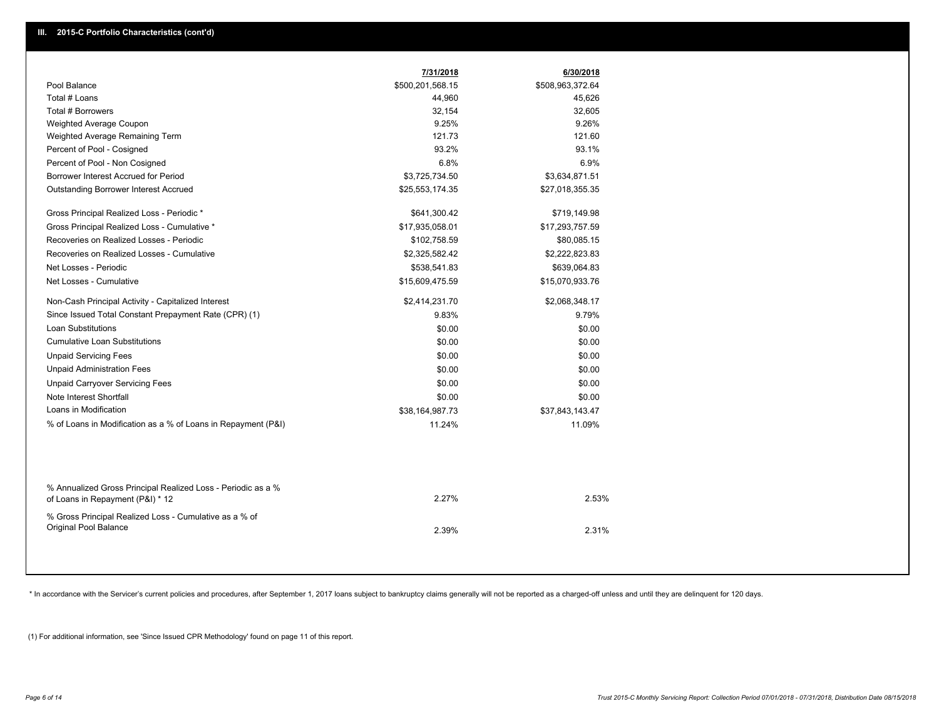|                                                                                                  | 7/31/2018        | 6/30/2018        |
|--------------------------------------------------------------------------------------------------|------------------|------------------|
| Pool Balance                                                                                     | \$500,201,568.15 | \$508,963,372.64 |
| Total # Loans                                                                                    | 44,960           | 45,626           |
| Total # Borrowers                                                                                | 32,154           | 32,605           |
| Weighted Average Coupon                                                                          | 9.25%            | 9.26%            |
| Weighted Average Remaining Term                                                                  | 121.73           | 121.60           |
| Percent of Pool - Cosigned                                                                       | 93.2%            | 93.1%            |
| Percent of Pool - Non Cosigned                                                                   | 6.8%             | 6.9%             |
| Borrower Interest Accrued for Period                                                             | \$3,725,734.50   | \$3,634,871.51   |
| <b>Outstanding Borrower Interest Accrued</b>                                                     | \$25,553,174.35  | \$27,018,355.35  |
| Gross Principal Realized Loss - Periodic *                                                       | \$641,300.42     | \$719,149.98     |
| Gross Principal Realized Loss - Cumulative *                                                     | \$17,935,058.01  | \$17,293,757.59  |
| Recoveries on Realized Losses - Periodic                                                         | \$102,758.59     | \$80,085.15      |
| Recoveries on Realized Losses - Cumulative                                                       | \$2,325,582.42   | \$2,222,823.83   |
| Net Losses - Periodic                                                                            | \$538,541.83     | \$639,064.83     |
| Net Losses - Cumulative                                                                          | \$15,609,475.59  | \$15,070,933.76  |
| Non-Cash Principal Activity - Capitalized Interest                                               | \$2,414,231.70   | \$2,068,348.17   |
| Since Issued Total Constant Prepayment Rate (CPR) (1)                                            | 9.83%            | 9.79%            |
| <b>Loan Substitutions</b>                                                                        | \$0.00           | \$0.00           |
| <b>Cumulative Loan Substitutions</b>                                                             | \$0.00           | \$0.00           |
| <b>Unpaid Servicing Fees</b>                                                                     | \$0.00           | \$0.00           |
| <b>Unpaid Administration Fees</b>                                                                | \$0.00           | \$0.00           |
| <b>Unpaid Carryover Servicing Fees</b>                                                           | \$0.00           | \$0.00           |
| Note Interest Shortfall                                                                          | \$0.00           | \$0.00           |
| Loans in Modification                                                                            | \$38,164,987.73  | \$37,843,143.47  |
| % of Loans in Modification as a % of Loans in Repayment (P&I)                                    | 11.24%           | 11.09%           |
|                                                                                                  |                  |                  |
| % Annualized Gross Principal Realized Loss - Periodic as a %<br>of Loans in Repayment (P&I) * 12 | 2.27%            | 2.53%            |
| % Gross Principal Realized Loss - Cumulative as a % of<br>Original Pool Balance                  | 2.39%            | 2.31%            |

\* In accordance with the Servicer's current policies and procedures, after September 1, 2017 loans subject to bankruptcy claims generally will not be reported as a charged-off unless and until they are delinquent for 120 d

(1) For additional information, see 'Since Issued CPR Methodology' found on page 11 of this report.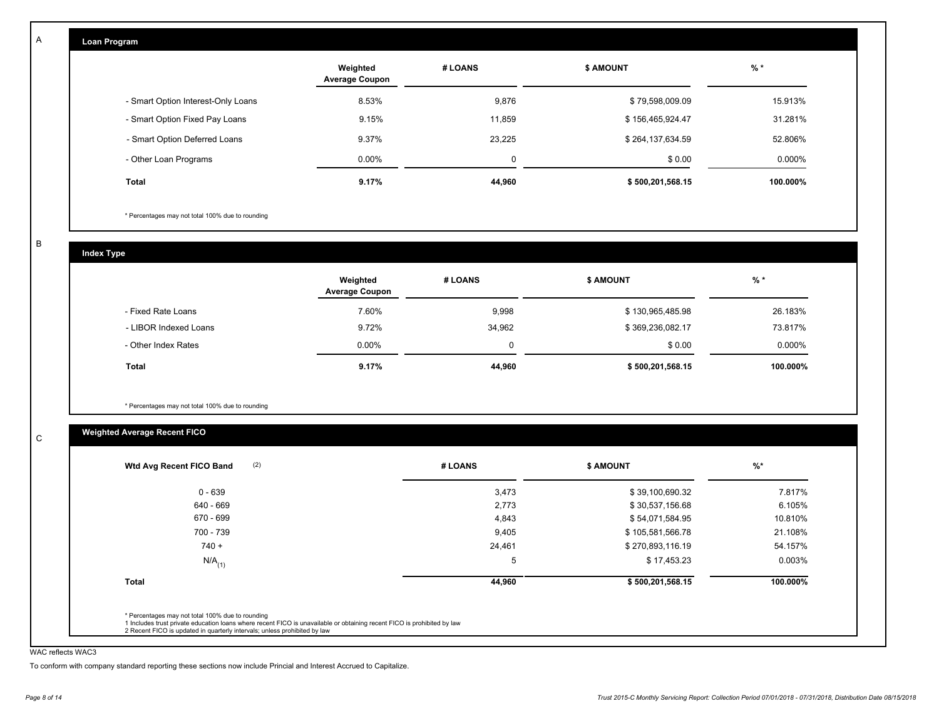| <b>Loan Program</b>                |                                   |         |                  |           |
|------------------------------------|-----------------------------------|---------|------------------|-----------|
|                                    | Weighted<br><b>Average Coupon</b> | # LOANS | <b>\$ AMOUNT</b> | $%$ *     |
| - Smart Option Interest-Only Loans | 8.53%                             | 9,876   | \$79,598,009.09  | 15.913%   |
| - Smart Option Fixed Pay Loans     | 9.15%                             | 11,859  | \$156,465,924.47 | 31.281%   |
| - Smart Option Deferred Loans      | 9.37%                             | 23,225  | \$264,137,634.59 | 52.806%   |
| - Other Loan Programs              | $0.00\%$                          | 0       | \$0.00           | $0.000\%$ |
| Total                              | 9.17%                             | 44,960  | \$500,201,568.15 | 100.000%  |

\* Percentages may not total 100% due to rounding

B

C

A

**Index Type**

|                       | Weighted<br><b>Average Coupon</b> | # LOANS  | <b>\$ AMOUNT</b> | $%$ *     |
|-----------------------|-----------------------------------|----------|------------------|-----------|
| - Fixed Rate Loans    | 7.60%                             | 9,998    | \$130,965,485.98 | 26.183%   |
| - LIBOR Indexed Loans | 9.72%                             | 34,962   | \$369,236,082.17 | 73.817%   |
| - Other Index Rates   | $0.00\%$                          | $\Omega$ | \$0.00           | $0.000\%$ |
| <b>Total</b>          | 9.17%                             | 44,960   | \$500,201,568.15 | 100.000%  |

\* Percentages may not total 100% due to rounding

# **Weighted Average Recent FICO**

| (2)<br>Wtd Avg Recent FICO Band                                                                                                                                             | # LOANS | \$ AMOUNT        | $%$ *    |
|-----------------------------------------------------------------------------------------------------------------------------------------------------------------------------|---------|------------------|----------|
| $0 - 639$                                                                                                                                                                   | 3,473   | \$39,100,690.32  | 7.817%   |
| 640 - 669                                                                                                                                                                   | 2,773   | \$30,537,156.68  | 6.105%   |
| 670 - 699                                                                                                                                                                   | 4,843   | \$54,071,584.95  | 10.810%  |
| 700 - 739                                                                                                                                                                   | 9,405   | \$105,581,566.78 | 21.108%  |
| $740 +$                                                                                                                                                                     | 24,461  | \$270,893,116.19 | 54.157%  |
| $N/A$ <sub>(1)</sub>                                                                                                                                                        | 5       | \$17,453.23      | 0.003%   |
| <b>Total</b>                                                                                                                                                                | 44,960  | \$500,201,568.15 | 100.000% |
|                                                                                                                                                                             |         |                  |          |
| * Percentages may not total 100% due to rounding<br>1 Includes trust private education loans where recent FICO is unavailable or obtaining recent FICO is prohibited by law |         |                  |          |

### WAC reflects WAC3

To conform with company standard reporting these sections now include Princial and Interest Accrued to Capitalize.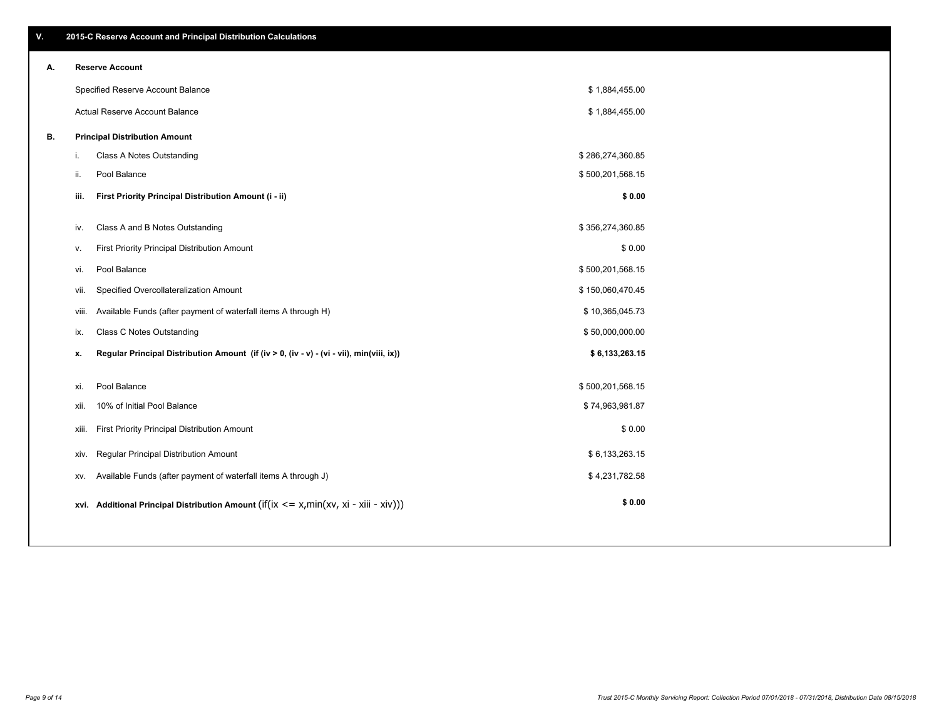| Α. |       | <b>Reserve Account</b>                                                                     |                  |  |
|----|-------|--------------------------------------------------------------------------------------------|------------------|--|
|    |       | Specified Reserve Account Balance                                                          | \$1,884,455.00   |  |
|    |       | Actual Reserve Account Balance                                                             | \$1,884,455.00   |  |
| В. |       | <b>Principal Distribution Amount</b>                                                       |                  |  |
|    | i.    | Class A Notes Outstanding                                                                  | \$286,274,360.85 |  |
|    | ii.   | Pool Balance                                                                               | \$500,201,568.15 |  |
|    | iii.  | First Priority Principal Distribution Amount (i - ii)                                      | \$0.00           |  |
|    | iv.   | Class A and B Notes Outstanding                                                            | \$356,274,360.85 |  |
|    | v.    | First Priority Principal Distribution Amount                                               | \$0.00           |  |
|    | vi.   | Pool Balance                                                                               | \$500,201,568.15 |  |
|    | Vii.  | Specified Overcollateralization Amount                                                     | \$150,060,470.45 |  |
|    | viii. | Available Funds (after payment of waterfall items A through H)                             | \$10,365,045.73  |  |
|    | ix.   | Class C Notes Outstanding                                                                  | \$50,000,000.00  |  |
|    | х.    | Regular Principal Distribution Amount (if (iv > 0, (iv - v) - (vi - vii), min(viii, ix))   | \$6,133,263.15   |  |
|    | xi.   | Pool Balance                                                                               | \$500,201,568.15 |  |
|    | xii.  | 10% of Initial Pool Balance                                                                | \$74,963,981.87  |  |
|    | xiii. | First Priority Principal Distribution Amount                                               | \$0.00           |  |
|    | XIV.  | Regular Principal Distribution Amount                                                      | \$6,133,263.15   |  |
|    | XV.   | Available Funds (after payment of waterfall items A through J)                             | \$4,231,782.58   |  |
|    |       | xvi. Additional Principal Distribution Amount (if(ix $\lt$ = x, min(xv, xi - xiii - xiv))) | \$0.00           |  |
|    |       |                                                                                            |                  |  |

# **A. Reserve Account**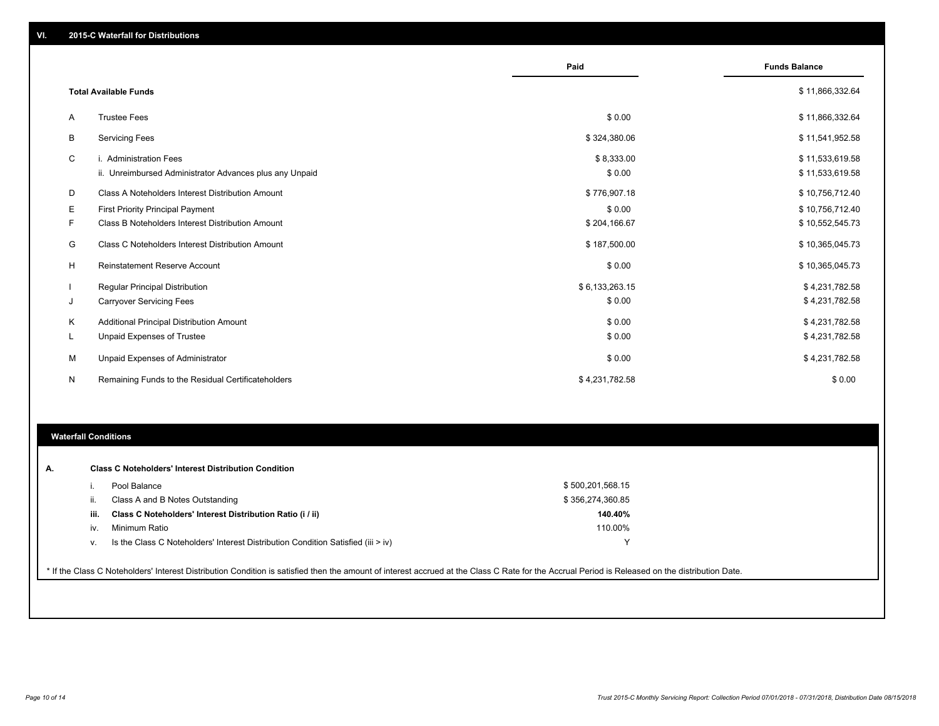|    |                                                                                   | Paid                 | <b>Funds Balance</b>               |
|----|-----------------------------------------------------------------------------------|----------------------|------------------------------------|
|    | <b>Total Available Funds</b>                                                      |                      | \$11,866,332.64                    |
| A  | <b>Trustee Fees</b>                                                               | \$0.00               | \$11,866,332.64                    |
| B  | <b>Servicing Fees</b>                                                             | \$324,380.06         | \$11,541,952.58                    |
| C  | i. Administration Fees<br>ii. Unreimbursed Administrator Advances plus any Unpaid | \$8,333.00<br>\$0.00 | \$11,533,619.58<br>\$11,533,619.58 |
| D  | Class A Noteholders Interest Distribution Amount                                  | \$776,907.18         | \$10,756,712.40                    |
| Е  | First Priority Principal Payment                                                  | \$0.00               | \$10,756,712.40                    |
| F. | Class B Noteholders Interest Distribution Amount                                  | \$204,166.67         | \$10,552,545.73                    |
| G  | Class C Noteholders Interest Distribution Amount                                  | \$187,500.00         | \$10,365,045.73                    |
| Н  | <b>Reinstatement Reserve Account</b>                                              | \$0.00               | \$10,365,045.73                    |
|    | <b>Regular Principal Distribution</b>                                             | \$6,133,263.15       | \$4,231,782.58                     |
| J  | <b>Carryover Servicing Fees</b>                                                   | \$0.00               | \$4,231,782.58                     |
| Κ  | <b>Additional Principal Distribution Amount</b>                                   | \$0.00               | \$4,231,782.58                     |
| L  | Unpaid Expenses of Trustee                                                        | \$0.00               | \$4,231,782.58                     |
| M  | Unpaid Expenses of Administrator                                                  | \$0.00               | \$4,231,782.58                     |
| N  | Remaining Funds to the Residual Certificateholders                                | \$4,231,782.58       | \$0.00                             |

### **Waterfall Conditions**

| А. |      | <b>Class C Noteholders' Interest Distribution Condition</b>                      |                  |
|----|------|----------------------------------------------------------------------------------|------------------|
|    |      | Pool Balance                                                                     | \$500,201,568.15 |
|    | Ш.   | Class A and B Notes Outstanding                                                  | \$356,274,360.85 |
|    | iii. | Class C Noteholders' Interest Distribution Ratio (i / ii)                        | 140.40%          |
|    | IV.  | Minimum Ratio                                                                    | 110.00%          |
|    | V.   | Is the Class C Noteholders' Interest Distribution Condition Satisfied (iii > iv) | ◡                |
|    |      |                                                                                  |                  |

\* If the Class C Noteholders' Interest Distribution Condition is satisfied then the amount of interest accrued at the Class C Rate for the Accrual Period is Released on the distribution Date.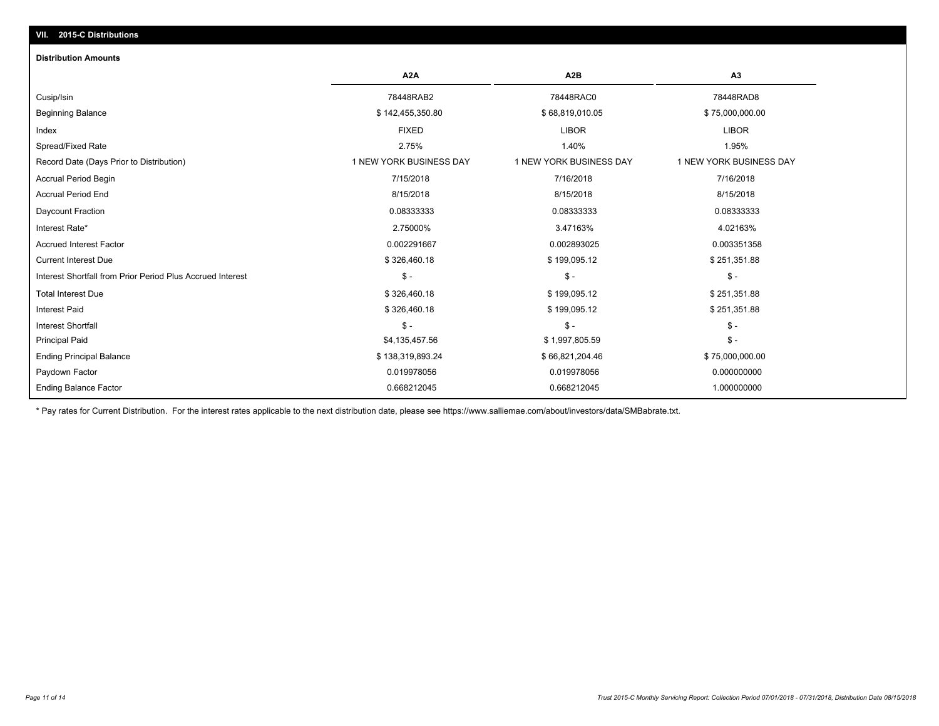## **VII. 2015-C Distributions**

#### **Distribution Amounts**

|                                                            | A <sub>2</sub> A        | A <sub>2</sub> B        | A <sub>3</sub>          |
|------------------------------------------------------------|-------------------------|-------------------------|-------------------------|
| Cusip/Isin                                                 | 78448RAB2               | 78448RAC0               | 78448RAD8               |
| <b>Beginning Balance</b>                                   | \$142,455,350.80        | \$68,819,010.05         | \$75,000,000.00         |
| Index                                                      | <b>FIXED</b>            | <b>LIBOR</b>            | <b>LIBOR</b>            |
| Spread/Fixed Rate                                          | 2.75%                   | 1.40%                   | 1.95%                   |
| Record Date (Days Prior to Distribution)                   | 1 NEW YORK BUSINESS DAY | 1 NEW YORK BUSINESS DAY | 1 NEW YORK BUSINESS DAY |
| <b>Accrual Period Begin</b>                                | 7/15/2018               | 7/16/2018               | 7/16/2018               |
| <b>Accrual Period End</b>                                  | 8/15/2018               | 8/15/2018               | 8/15/2018               |
| Daycount Fraction                                          | 0.08333333              | 0.08333333              | 0.08333333              |
| Interest Rate*                                             | 2.75000%                | 3.47163%                | 4.02163%                |
| <b>Accrued Interest Factor</b>                             | 0.002291667             | 0.002893025             | 0.003351358             |
| <b>Current Interest Due</b>                                | \$326,460.18            | \$199,095.12            | \$251,351.88            |
| Interest Shortfall from Prior Period Plus Accrued Interest | $S -$                   | $\mathsf{\$}$ -         | $\mathsf{\$}$ -         |
| <b>Total Interest Due</b>                                  | \$326,460.18            | \$199,095.12            | \$251,351.88            |
| <b>Interest Paid</b>                                       | \$326,460.18            | \$199,095.12            | \$251,351.88            |
| <b>Interest Shortfall</b>                                  | $\mathsf{\$}$ -         | \$ -                    | $\mathsf{\$}$ -         |
| <b>Principal Paid</b>                                      | \$4,135,457.56          | \$1,997,805.59          | $\mathsf{\$}$ -         |
| <b>Ending Principal Balance</b>                            | \$138,319,893.24        | \$66,821,204.46         | \$75,000,000.00         |
| Paydown Factor                                             | 0.019978056             | 0.019978056             | 0.000000000             |
| <b>Ending Balance Factor</b>                               | 0.668212045             | 0.668212045             | 1.000000000             |

\* Pay rates for Current Distribution. For the interest rates applicable to the next distribution date, please see https://www.salliemae.com/about/investors/data/SMBabrate.txt.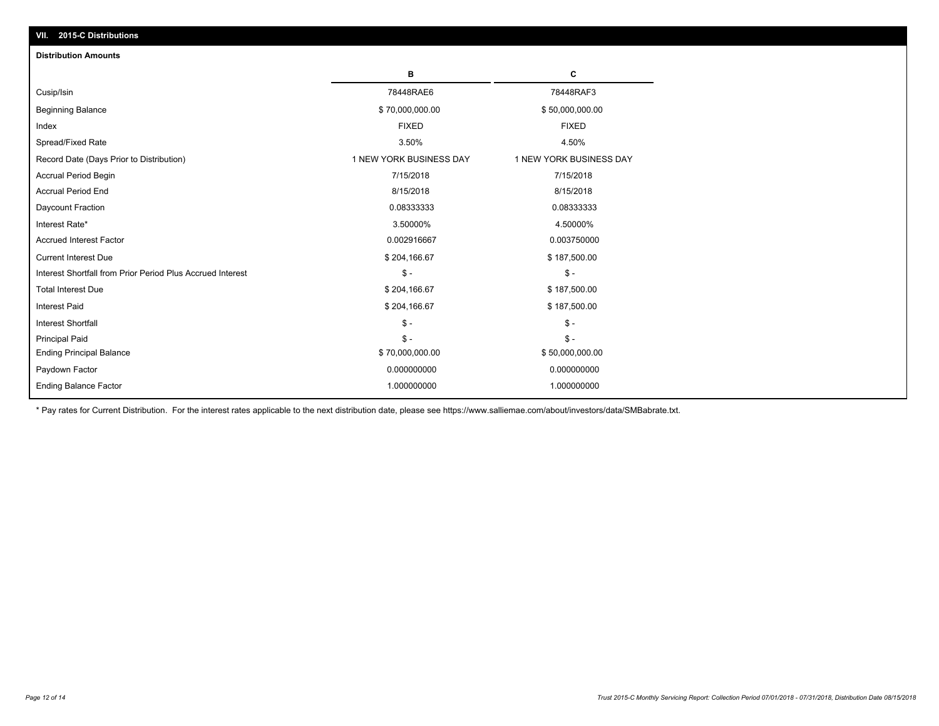| <b>Distribution Amounts</b>                                |                         |                         |
|------------------------------------------------------------|-------------------------|-------------------------|
|                                                            | в                       | С                       |
| Cusip/Isin                                                 | 78448RAE6               | 78448RAF3               |
| <b>Beginning Balance</b>                                   | \$70,000,000.00         | \$50,000,000.00         |
| Index                                                      | <b>FIXED</b>            | <b>FIXED</b>            |
| Spread/Fixed Rate                                          | 3.50%                   | 4.50%                   |
| Record Date (Days Prior to Distribution)                   | 1 NEW YORK BUSINESS DAY | 1 NEW YORK BUSINESS DAY |
| Accrual Period Begin                                       | 7/15/2018               | 7/15/2018               |
| <b>Accrual Period End</b>                                  | 8/15/2018               | 8/15/2018               |
| Daycount Fraction                                          | 0.08333333              | 0.08333333              |
| Interest Rate*                                             | 3.50000%                | 4.50000%                |
| <b>Accrued Interest Factor</b>                             | 0.002916667             | 0.003750000             |
| <b>Current Interest Due</b>                                | \$204,166.67            | \$187,500.00            |
| Interest Shortfall from Prior Period Plus Accrued Interest | $\mathcal{S}$ -         | $\mathsf{\$}$ -         |
| <b>Total Interest Due</b>                                  | \$204,166.67            | \$187,500.00            |
| <b>Interest Paid</b>                                       | \$204,166.67            | \$187,500.00            |
| <b>Interest Shortfall</b>                                  | $\mathbb{S}$ -          | $\mathsf{\$}$ -         |
| <b>Principal Paid</b>                                      | $S -$                   | $S -$                   |
| <b>Ending Principal Balance</b>                            | \$70,000,000.00         | \$50,000,000.00         |
| Paydown Factor                                             | 0.000000000             | 0.000000000             |
| <b>Ending Balance Factor</b>                               | 1.000000000             | 1.000000000             |

\* Pay rates for Current Distribution. For the interest rates applicable to the next distribution date, please see https://www.salliemae.com/about/investors/data/SMBabrate.txt.

**VII. 2015-C Distributions**